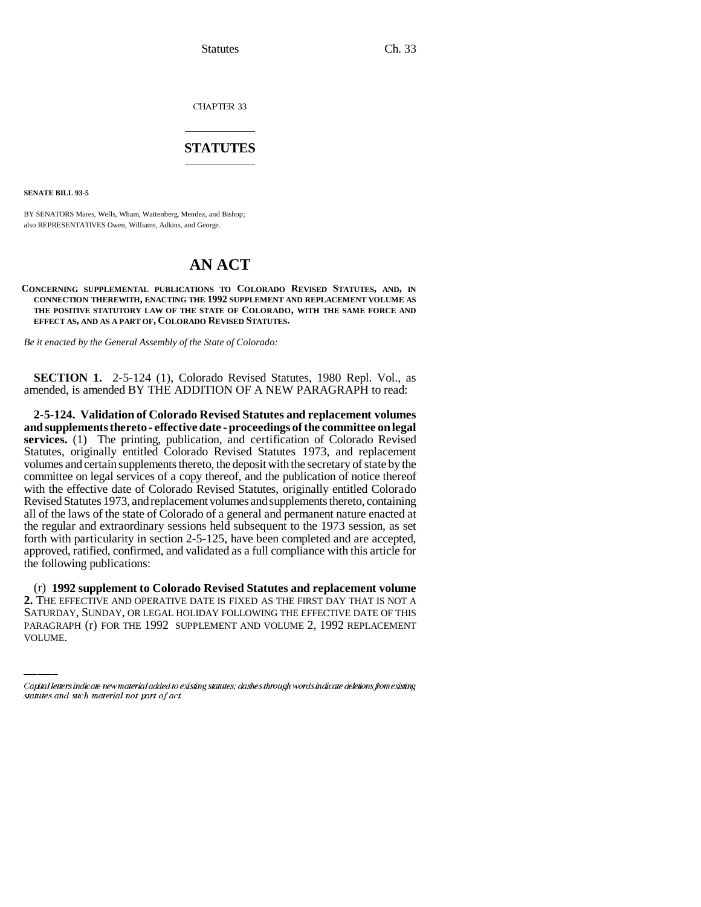Statutes Ch. 33

CHAPTER 33

## \_\_\_\_\_\_\_\_\_\_\_\_\_\_\_ **STATUTES** \_\_\_\_\_\_\_\_\_\_\_\_\_\_\_

**SENATE BILL 93-5**

BY SENATORS Mares, Wells, Wham, Wattenberg, Mendez, and Bishop; also REPRESENTATIVES Owen, Williams, Adkins, and George.

## **AN ACT**

## **CONCERNING SUPPLEMENTAL PUBLICATIONS TO COLORADO REVISED STATUTES, AND, IN CONNECTION THEREWITH, ENACTING THE 1992 SUPPLEMENT AND REPLACEMENT VOLUME AS THE POSITIVE STATUTORY LAW OF THE STATE OF COLORADO, WITH THE SAME FORCE AND EFFECT AS, AND AS A PART OF, COLORADO REVISED STATUTES.**

*Be it enacted by the General Assembly of the State of Colorado:*

**SECTION 1.** 2-5-124 (1), Colorado Revised Statutes, 1980 Repl. Vol., as amended, is amended BY THE ADDITION OF A NEW PARAGRAPH to read:

**2-5-124. Validation of Colorado Revised Statutes and replacement volumes and supplements thereto - effective date - proceedings of the committee on legal services.** (1) The printing, publication, and certification of Colorado Revised Statutes, originally entitled Colorado Revised Statutes 1973, and replacement volumes and certain supplements thereto, the deposit with the secretary of state by the committee on legal services of a copy thereof, and the publication of notice thereof with the effective date of Colorado Revised Statutes, originally entitled Colorado Revised Statutes 1973, and replacement volumes and supplements thereto, containing all of the laws of the state of Colorado of a general and permanent nature enacted at the regular and extraordinary sessions held subsequent to the 1973 session, as set forth with particularity in section 2-5-125, have been completed and are accepted, approved, ratified, confirmed, and validated as a full compliance with this article for the following publications:

(r) **1992 supplement to Colorado Revised Statutes and replacement volume 2.** THE EFFECTIVE AND OPERATIVE DATE IS FIXED AS THE FIRST DAY THAT IS NOT A SATURDAY, SUNDAY, OR LEGAL HOLIDAY FOLLOWING THE EFFECTIVE DATE OF THIS PARAGRAPH (r) FOR THE 1992 SUPPLEMENT AND VOLUME 2, 1992 REPLACEMENT VOLUME.

Capital letters indicate new material added to existing statutes; dashes through words indicate deletions from existing statutes and such material not part of act.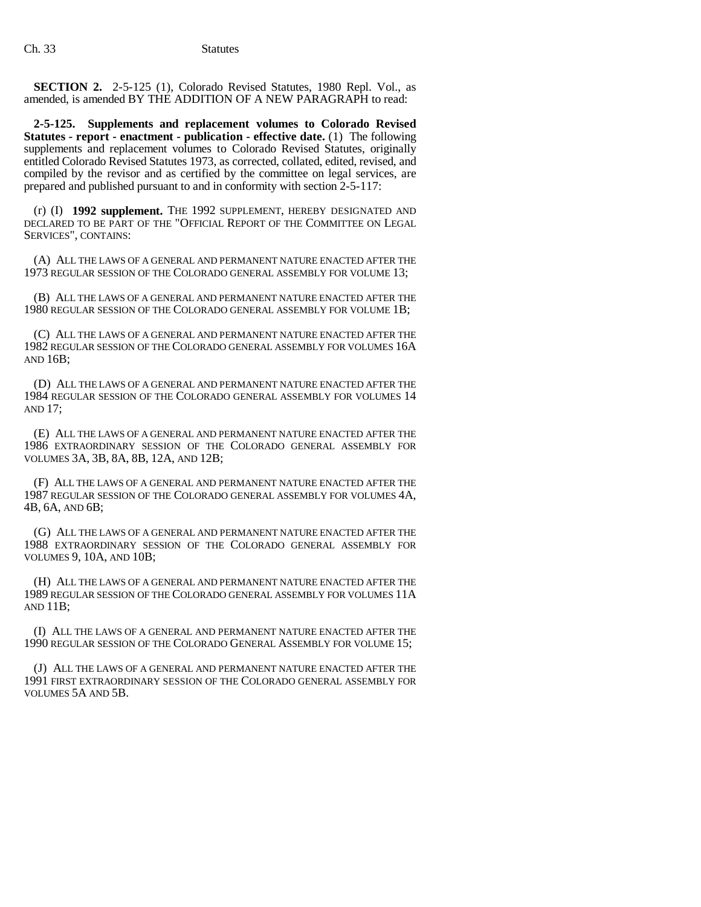**SECTION 2.** 2-5-125 (1), Colorado Revised Statutes, 1980 Repl. Vol., as amended, is amended BY THE ADDITION OF A NEW PARAGRAPH to read:

**2-5-125. Supplements and replacement volumes to Colorado Revised Statutes - report - enactment - publication - effective date.** (1) The following supplements and replacement volumes to Colorado Revised Statutes, originally entitled Colorado Revised Statutes 1973, as corrected, collated, edited, revised, and compiled by the revisor and as certified by the committee on legal services, are prepared and published pursuant to and in conformity with section 2-5-117:

(r) (I) **1992 supplement.** THE 1992 SUPPLEMENT, HEREBY DESIGNATED AND DECLARED TO BE PART OF THE "OFFICIAL REPORT OF THE COMMITTEE ON LEGAL SERVICES", CONTAINS:

(A) ALL THE LAWS OF A GENERAL AND PERMANENT NATURE ENACTED AFTER THE 1973 REGULAR SESSION OF THE COLORADO GENERAL ASSEMBLY FOR VOLUME 13;

(B) ALL THE LAWS OF A GENERAL AND PERMANENT NATURE ENACTED AFTER THE 1980 REGULAR SESSION OF THE COLORADO GENERAL ASSEMBLY FOR VOLUME 1B;

(C) ALL THE LAWS OF A GENERAL AND PERMANENT NATURE ENACTED AFTER THE 1982 REGULAR SESSION OF THE COLORADO GENERAL ASSEMBLY FOR VOLUMES 16A AND 16B;

(D) ALL THE LAWS OF A GENERAL AND PERMANENT NATURE ENACTED AFTER THE 1984 REGULAR SESSION OF THE COLORADO GENERAL ASSEMBLY FOR VOLUMES 14 AND 17;

(E) ALL THE LAWS OF A GENERAL AND PERMANENT NATURE ENACTED AFTER THE 1986 EXTRAORDINARY SESSION OF THE COLORADO GENERAL ASSEMBLY FOR VOLUMES 3A, 3B, 8A, 8B, 12A, AND 12B;

(F) ALL THE LAWS OF A GENERAL AND PERMANENT NATURE ENACTED AFTER THE 1987 REGULAR SESSION OF THE COLORADO GENERAL ASSEMBLY FOR VOLUMES 4A, 4B, 6A, AND 6B;

(G) ALL THE LAWS OF A GENERAL AND PERMANENT NATURE ENACTED AFTER THE 1988 EXTRAORDINARY SESSION OF THE COLORADO GENERAL ASSEMBLY FOR VOLUMES 9, 10A, AND 10B;

(H) ALL THE LAWS OF A GENERAL AND PERMANENT NATURE ENACTED AFTER THE 1989 REGULAR SESSION OF THE COLORADO GENERAL ASSEMBLY FOR VOLUMES 11A AND 11B;

(I) ALL THE LAWS OF A GENERAL AND PERMANENT NATURE ENACTED AFTER THE 1990 REGULAR SESSION OF THE COLORADO GENERAL ASSEMBLY FOR VOLUME 15;

(J) ALL THE LAWS OF A GENERAL AND PERMANENT NATURE ENACTED AFTER THE 1991 FIRST EXTRAORDINARY SESSION OF THE COLORADO GENERAL ASSEMBLY FOR VOLUMES 5A AND 5B.